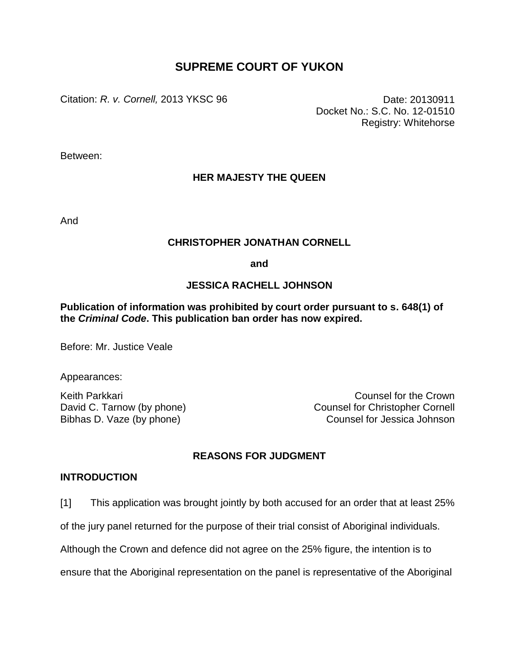# **SUPREME COURT OF YUKON**

Citation: *R. v. Cornell,* 2013 YKSC 96 Date: 20130911

Docket No.: S.C. No. 12-01510 Registry: Whitehorse

Between:

# **HER MAJESTY THE QUEEN**

And

## **CHRISTOPHER JONATHAN CORNELL**

**and**

## **JESSICA RACHELL JOHNSON**

## **Publication of information was prohibited by court order pursuant to s. 648(1) of the** *Criminal Code***. This publication ban order has now expired.**

Before: Mr. Justice Veale

Appearances:

Keith Parkkari Counsel for the Crown David C. Tarnow (by phone) Counsel for Christopher Cornell Bibhas D. Vaze (by phone) Counsel for Jessica Johnson

## **REASONS FOR JUDGMENT**

### **INTRODUCTION**

[1] This application was brought jointly by both accused for an order that at least 25%

of the jury panel returned for the purpose of their trial consist of Aboriginal individuals.

Although the Crown and defence did not agree on the 25% figure, the intention is to

ensure that the Aboriginal representation on the panel is representative of the Aboriginal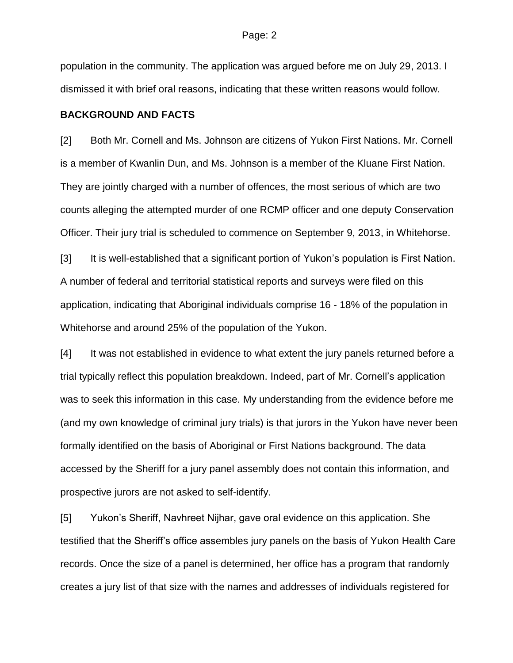population in the community. The application was argued before me on July 29, 2013. I dismissed it with brief oral reasons, indicating that these written reasons would follow.

#### **BACKGROUND AND FACTS**

[2] Both Mr. Cornell and Ms. Johnson are citizens of Yukon First Nations. Mr. Cornell is a member of Kwanlin Dun, and Ms. Johnson is a member of the Kluane First Nation. They are jointly charged with a number of offences, the most serious of which are two counts alleging the attempted murder of one RCMP officer and one deputy Conservation Officer. Their jury trial is scheduled to commence on September 9, 2013, in Whitehorse.

[3] It is well-established that a significant portion of Yukon's population is First Nation. A number of federal and territorial statistical reports and surveys were filed on this application, indicating that Aboriginal individuals comprise 16 - 18% of the population in Whitehorse and around 25% of the population of the Yukon.

[4] It was not established in evidence to what extent the jury panels returned before a trial typically reflect this population breakdown. Indeed, part of Mr. Cornell's application was to seek this information in this case. My understanding from the evidence before me (and my own knowledge of criminal jury trials) is that jurors in the Yukon have never been formally identified on the basis of Aboriginal or First Nations background. The data accessed by the Sheriff for a jury panel assembly does not contain this information, and prospective jurors are not asked to self-identify.

[5] Yukon's Sheriff, Navhreet Nijhar, gave oral evidence on this application. She testified that the Sheriff's office assembles jury panels on the basis of Yukon Health Care records. Once the size of a panel is determined, her office has a program that randomly creates a jury list of that size with the names and addresses of individuals registered for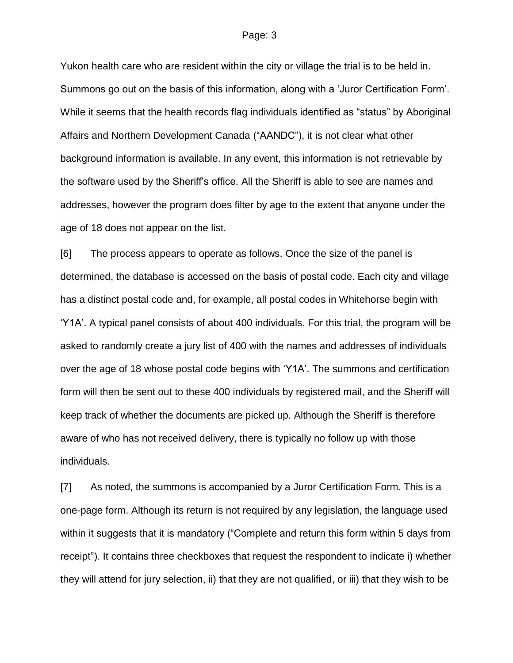Yukon health care who are resident within the city or village the trial is to be held in. Summons go out on the basis of this information, along with a 'Juror Certification Form'. While it seems that the health records flag individuals identified as "status" by Aboriginal Affairs and Northern Development Canada ("AANDC"), it is not clear what other background information is available. In any event, this information is not retrievable by the software used by the Sheriff's office. All the Sheriff is able to see are names and addresses, however the program does filter by age to the extent that anyone under the age of 18 does not appear on the list.

[6] The process appears to operate as follows. Once the size of the panel is determined, the database is accessed on the basis of postal code. Each city and village has a distinct postal code and, for example, all postal codes in Whitehorse begin with 'Y1A'. A typical panel consists of about 400 individuals. For this trial, the program will be asked to randomly create a jury list of 400 with the names and addresses of individuals over the age of 18 whose postal code begins with 'Y1A'. The summons and certification form will then be sent out to these 400 individuals by registered mail, and the Sheriff will keep track of whether the documents are picked up. Although the Sheriff is therefore aware of who has not received delivery, there is typically no follow up with those individuals.

[7] As noted, the summons is accompanied by a Juror Certification Form. This is a one-page form. Although its return is not required by any legislation, the language used within it suggests that it is mandatory ("Complete and return this form within 5 days from receipt"). It contains three checkboxes that request the respondent to indicate i) whether they will attend for jury selection, ii) that they are not qualified, or iii) that they wish to be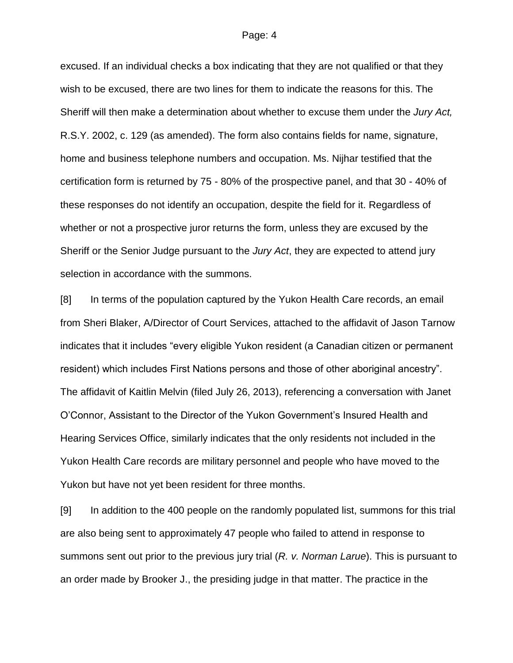excused. If an individual checks a box indicating that they are not qualified or that they wish to be excused, there are two lines for them to indicate the reasons for this. The Sheriff will then make a determination about whether to excuse them under the *Jury Act,*  R.S.Y. 2002, c. 129 (as amended). The form also contains fields for name, signature, home and business telephone numbers and occupation. Ms. Nijhar testified that the certification form is returned by 75 - 80% of the prospective panel, and that 30 - 40% of these responses do not identify an occupation, despite the field for it. Regardless of whether or not a prospective juror returns the form, unless they are excused by the Sheriff or the Senior Judge pursuant to the *Jury Act*, they are expected to attend jury selection in accordance with the summons.

[8] In terms of the population captured by the Yukon Health Care records, an email from Sheri Blaker, A/Director of Court Services, attached to the affidavit of Jason Tarnow indicates that it includes "every eligible Yukon resident (a Canadian citizen or permanent resident) which includes First Nations persons and those of other aboriginal ancestry". The affidavit of Kaitlin Melvin (filed July 26, 2013), referencing a conversation with Janet O'Connor, Assistant to the Director of the Yukon Government's Insured Health and Hearing Services Office, similarly indicates that the only residents not included in the Yukon Health Care records are military personnel and people who have moved to the Yukon but have not yet been resident for three months.

[9] In addition to the 400 people on the randomly populated list, summons for this trial are also being sent to approximately 47 people who failed to attend in response to summons sent out prior to the previous jury trial (*R. v. Norman Larue*). This is pursuant to an order made by Brooker J., the presiding judge in that matter. The practice in the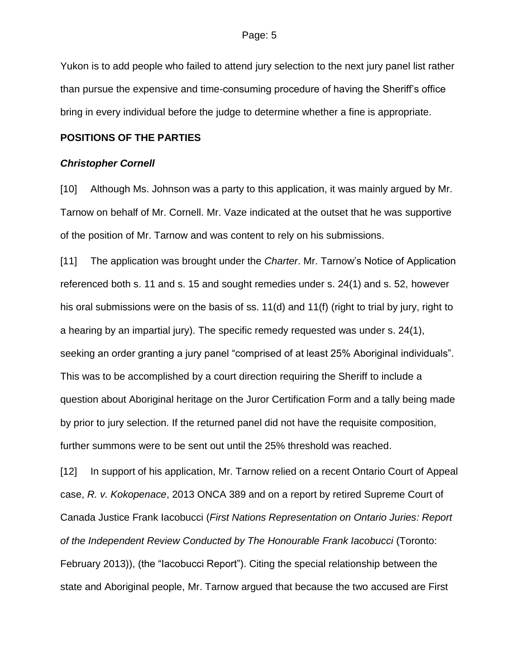Yukon is to add people who failed to attend jury selection to the next jury panel list rather than pursue the expensive and time-consuming procedure of having the Sheriff's office bring in every individual before the judge to determine whether a fine is appropriate.

### **POSITIONS OF THE PARTIES**

#### *Christopher Cornell*

[10] Although Ms. Johnson was a party to this application, it was mainly argued by Mr. Tarnow on behalf of Mr. Cornell. Mr. Vaze indicated at the outset that he was supportive of the position of Mr. Tarnow and was content to rely on his submissions.

[11] The application was brought under the *Charter*. Mr. Tarnow's Notice of Application referenced both s. 11 and s. 15 and sought remedies under s. 24(1) and s. 52, however his oral submissions were on the basis of ss. 11(d) and 11(f) (right to trial by jury, right to a hearing by an impartial jury). The specific remedy requested was under s. 24(1), seeking an order granting a jury panel "comprised of at least 25% Aboriginal individuals". This was to be accomplished by a court direction requiring the Sheriff to include a question about Aboriginal heritage on the Juror Certification Form and a tally being made by prior to jury selection. If the returned panel did not have the requisite composition, further summons were to be sent out until the 25% threshold was reached.

[12] In support of his application, Mr. Tarnow relied on a recent Ontario Court of Appeal case, *R. v. Kokopenace*, 2013 ONCA 389 and on a report by retired Supreme Court of Canada Justice Frank Iacobucci (*First Nations Representation on Ontario Juries: Report of the Independent Review Conducted by The Honourable Frank Iacobucci* (Toronto: February 2013)), (the "Iacobucci Report"). Citing the special relationship between the state and Aboriginal people, Mr. Tarnow argued that because the two accused are First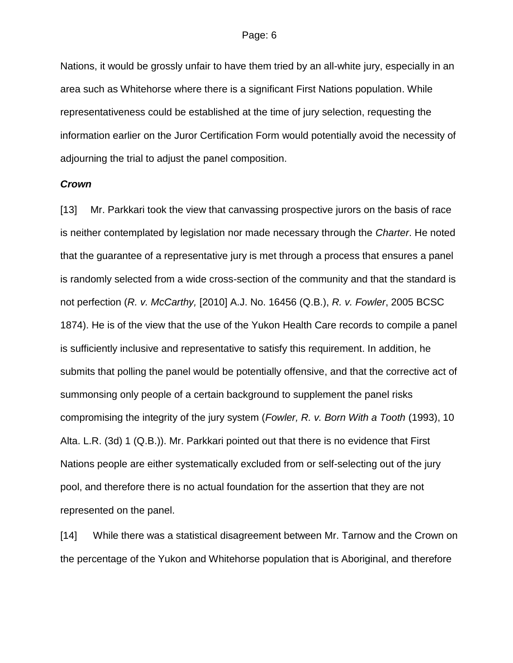Nations, it would be grossly unfair to have them tried by an all-white jury, especially in an area such as Whitehorse where there is a significant First Nations population. While representativeness could be established at the time of jury selection, requesting the information earlier on the Juror Certification Form would potentially avoid the necessity of adjourning the trial to adjust the panel composition.

### *Crown*

[13] Mr. Parkkari took the view that canvassing prospective jurors on the basis of race is neither contemplated by legislation nor made necessary through the *Charter*. He noted that the guarantee of a representative jury is met through a process that ensures a panel is randomly selected from a wide cross-section of the community and that the standard is not perfection (*R. v. McCarthy,* [2010] A.J. No. 16456 (Q.B.), *R. v. Fowler*, 2005 BCSC 1874). He is of the view that the use of the Yukon Health Care records to compile a panel is sufficiently inclusive and representative to satisfy this requirement. In addition, he submits that polling the panel would be potentially offensive, and that the corrective act of summonsing only people of a certain background to supplement the panel risks compromising the integrity of the jury system (*Fowler, R. v. Born With a Tooth* (1993), 10 Alta. L.R. (3d) 1 (Q.B.)). Mr. Parkkari pointed out that there is no evidence that First Nations people are either systematically excluded from or self-selecting out of the jury pool, and therefore there is no actual foundation for the assertion that they are not represented on the panel.

[14] While there was a statistical disagreement between Mr. Tarnow and the Crown on the percentage of the Yukon and Whitehorse population that is Aboriginal, and therefore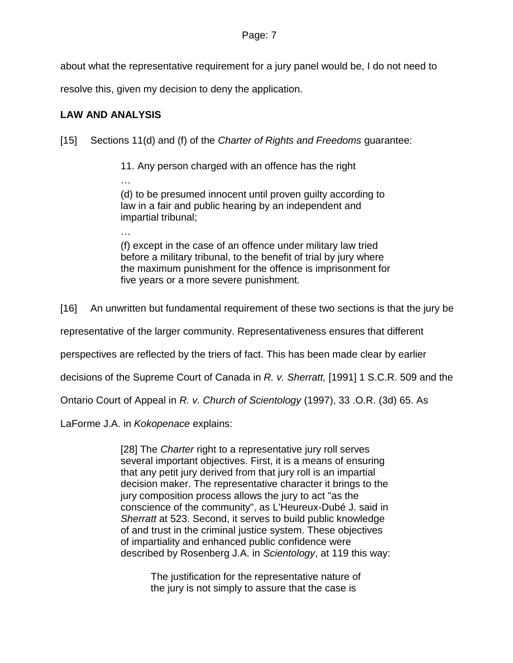about what the representative requirement for a jury panel would be, I do not need to

resolve this, given my decision to deny the application.

# **LAW AND ANALYSIS**

…

[15] Sections 11(d) and (f) of the *Charter of Rights and Freedoms* guarantee:

11. Any person charged with an offence has the right

… (d) to be presumed innocent until proven guilty according to law in a fair and public hearing by an independent and impartial tribunal;

(f) except in the case of an offence under military law tried before a military tribunal, to the benefit of trial by jury where the maximum punishment for the offence is imprisonment for five years or a more severe punishment.

[16] An unwritten but fundamental requirement of these two sections is that the jury be

representative of the larger community. Representativeness ensures that different

perspectives are reflected by the triers of fact. This has been made clear by earlier

decisions of the Supreme Court of Canada in *R. v. Sherratt,* [1991] 1 S.C.R. 509 and the

Ontario Court of Appeal in *R. v. Church of Scientology* (1997), 33 .O.R. (3d) 65. As

LaForme J.A. in *Kokopenace* explains:

[28] The *Charter* right to a representative jury roll serves several important objectives. First, it is a means of ensuring that any petit jury derived from that jury roll is an impartial decision maker. The representative character it brings to the jury composition process allows the jury to act "as the conscience of the community", as L'Heureux-Dubé J. said in *Sherratt* at 523. Second, it serves to build public knowledge of and trust in the criminal justice system. These objectives of impartiality and enhanced public confidence were described by Rosenberg J.A. in *Scientology*, at 119 this way:

> The justification for the representative nature of the jury is not simply to assure that the case is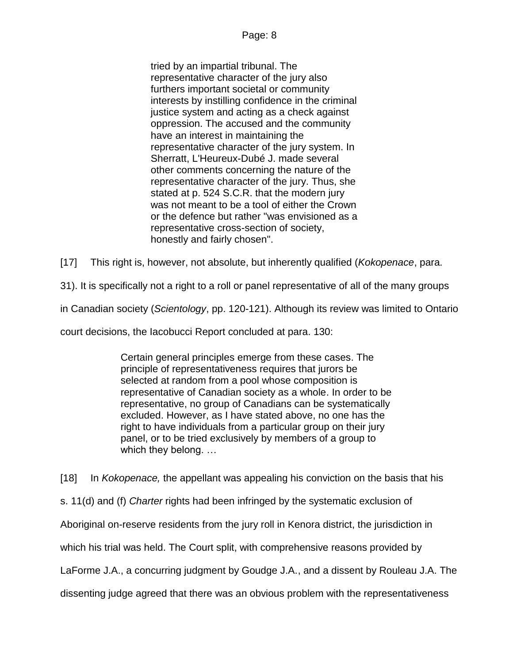tried by an impartial tribunal. The representative character of the jury also furthers important societal or community interests by instilling confidence in the criminal justice system and acting as a check against oppression. The accused and the community have an interest in maintaining the representative character of the jury system. In Sherratt, L'Heureux-Dubé J. made several other comments concerning the nature of the representative character of the jury. Thus, she stated at p. 524 S.C.R. that the modern jury was not meant to be a tool of either the Crown or the defence but rather "was envisioned as a representative cross-section of society, honestly and fairly chosen".

[17] This right is, however, not absolute, but inherently qualified (*Kokopenace*, para.

31). It is specifically not a right to a roll or panel representative of all of the many groups

in Canadian society (*Scientology*, pp. 120-121). Although its review was limited to Ontario

court decisions, the Iacobucci Report concluded at para. 130:

Certain general principles emerge from these cases. The principle of representativeness requires that jurors be selected at random from a pool whose composition is representative of Canadian society as a whole. In order to be representative, no group of Canadians can be systematically excluded. However, as I have stated above, no one has the right to have individuals from a particular group on their jury panel, or to be tried exclusively by members of a group to which they belong. …

[18] In *Kokopenace,* the appellant was appealing his conviction on the basis that his

s. 11(d) and (f) *Charter* rights had been infringed by the systematic exclusion of

Aboriginal on-reserve residents from the jury roll in Kenora district, the jurisdiction in

which his trial was held. The Court split, with comprehensive reasons provided by

LaForme J.A., a concurring judgment by Goudge J.A., and a dissent by Rouleau J.A. The

dissenting judge agreed that there was an obvious problem with the representativeness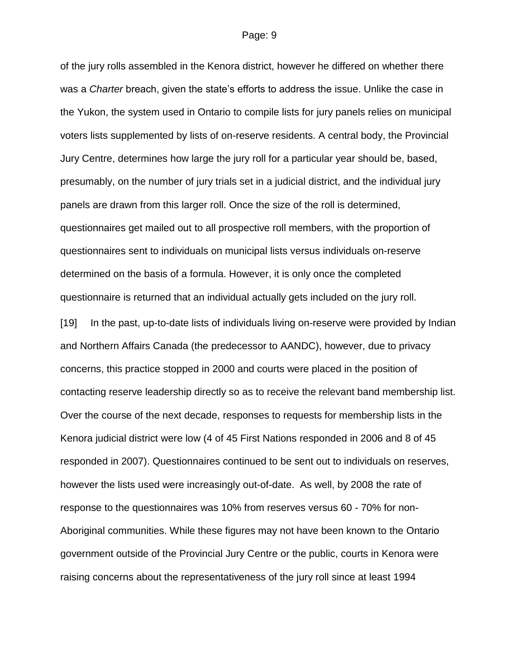of the jury rolls assembled in the Kenora district, however he differed on whether there was a *Charter* breach, given the state's efforts to address the issue. Unlike the case in the Yukon, the system used in Ontario to compile lists for jury panels relies on municipal voters lists supplemented by lists of on-reserve residents. A central body, the Provincial Jury Centre, determines how large the jury roll for a particular year should be, based, presumably, on the number of jury trials set in a judicial district, and the individual jury panels are drawn from this larger roll. Once the size of the roll is determined, questionnaires get mailed out to all prospective roll members, with the proportion of questionnaires sent to individuals on municipal lists versus individuals on-reserve determined on the basis of a formula. However, it is only once the completed questionnaire is returned that an individual actually gets included on the jury roll.

[19] In the past, up-to-date lists of individuals living on-reserve were provided by Indian and Northern Affairs Canada (the predecessor to AANDC), however, due to privacy concerns, this practice stopped in 2000 and courts were placed in the position of contacting reserve leadership directly so as to receive the relevant band membership list. Over the course of the next decade, responses to requests for membership lists in the Kenora judicial district were low (4 of 45 First Nations responded in 2006 and 8 of 45 responded in 2007). Questionnaires continued to be sent out to individuals on reserves, however the lists used were increasingly out-of-date. As well, by 2008 the rate of response to the questionnaires was 10% from reserves versus 60 - 70% for non-Aboriginal communities. While these figures may not have been known to the Ontario government outside of the Provincial Jury Centre or the public, courts in Kenora were raising concerns about the representativeness of the jury roll since at least 1994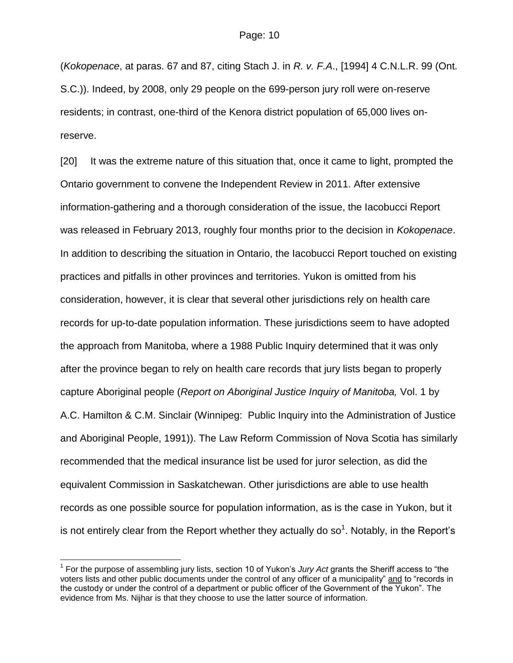(*Kokopenace*, at paras. 67 and 87, citing Stach J. in *R. v. F.A*., [1994] 4 C.N.L.R. 99 (Ont. S.C.)). Indeed, by 2008, only 29 people on the 699-person jury roll were on-reserve residents; in contrast, one-third of the Kenora district population of 65,000 lives onreserve.

[20] It was the extreme nature of this situation that, once it came to light, prompted the Ontario government to convene the Independent Review in 2011. After extensive information-gathering and a thorough consideration of the issue, the Iacobucci Report was released in February 2013, roughly four months prior to the decision in *Kokopenace*. In addition to describing the situation in Ontario, the Iacobucci Report touched on existing practices and pitfalls in other provinces and territories. Yukon is omitted from his consideration, however, it is clear that several other jurisdictions rely on health care records for up-to-date population information. These jurisdictions seem to have adopted the approach from Manitoba, where a 1988 Public Inquiry determined that it was only after the province began to rely on health care records that jury lists began to properly capture Aboriginal people (*Report on Aboriginal Justice Inquiry of Manitoba,* Vol. 1 by A.C. Hamilton & C.M. Sinclair (Winnipeg: Public Inquiry into the Administration of Justice and Aboriginal People, 1991)). The Law Reform Commission of Nova Scotia has similarly recommended that the medical insurance list be used for juror selection, as did the equivalent Commission in Saskatchewan. Other jurisdictions are able to use health records as one possible source for population information, as is the case in Yukon, but it is not entirely clear from the Report whether they actually do so<sup>1</sup>. Notably, in the Report's

 $\overline{a}$ 

<sup>&</sup>lt;sup>1</sup> For the purpose of assembling jury lists, section 10 of Yukon's *Jury Act* grants the Sheriff access to "the voters lists and other public documents under the control of any officer of a municipality" and to "records in the custody or under the control of a department or public officer of the Government of the Yukon". The evidence from Ms. Nijhar is that they choose to use the latter source of information.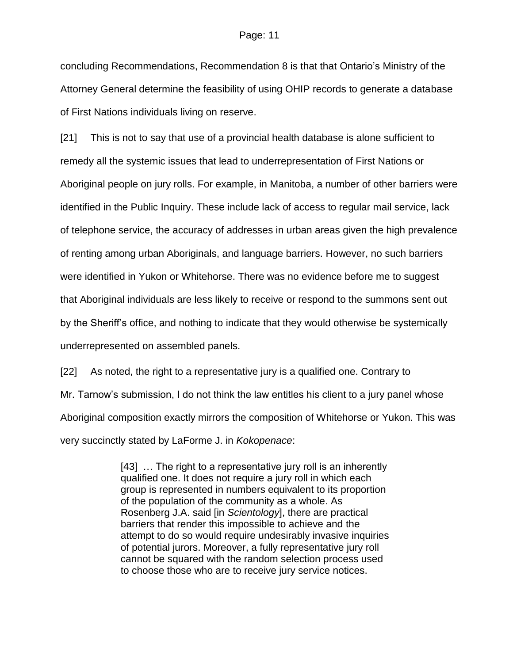concluding Recommendations, Recommendation 8 is that that Ontario's Ministry of the Attorney General determine the feasibility of using OHIP records to generate a database of First Nations individuals living on reserve.

[21] This is not to say that use of a provincial health database is alone sufficient to remedy all the systemic issues that lead to underrepresentation of First Nations or Aboriginal people on jury rolls. For example, in Manitoba, a number of other barriers were identified in the Public Inquiry. These include lack of access to regular mail service, lack of telephone service, the accuracy of addresses in urban areas given the high prevalence of renting among urban Aboriginals, and language barriers. However, no such barriers were identified in Yukon or Whitehorse. There was no evidence before me to suggest that Aboriginal individuals are less likely to receive or respond to the summons sent out by the Sheriff's office, and nothing to indicate that they would otherwise be systemically underrepresented on assembled panels.

[22] As noted, the right to a representative jury is a qualified one. Contrary to Mr. Tarnow's submission, I do not think the law entitles his client to a jury panel whose Aboriginal composition exactly mirrors the composition of Whitehorse or Yukon. This was very succinctly stated by LaForme J. in *Kokopenace*:

> [43] ... The right to a representative jury roll is an inherently qualified one. It does not require a jury roll in which each group is represented in numbers equivalent to its proportion of the population of the community as a whole. As Rosenberg J.A. said [in *Scientology*], there are practical barriers that render this impossible to achieve and the attempt to do so would require undesirably invasive inquiries of potential jurors. Moreover, a fully representative jury roll cannot be squared with the random selection process used to choose those who are to receive jury service notices.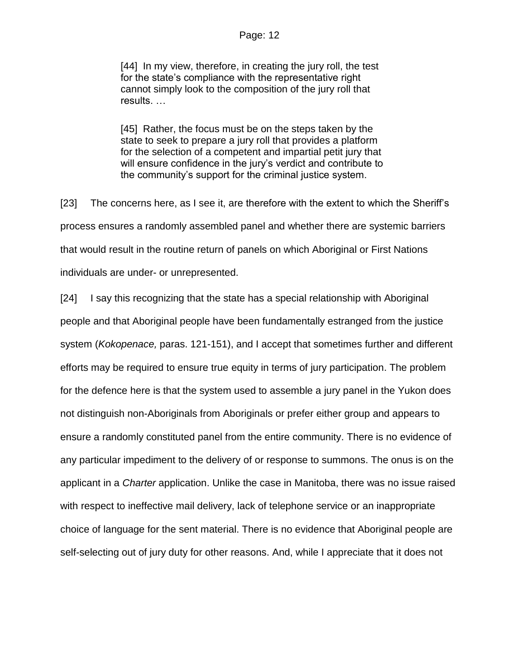[44] In my view, therefore, in creating the jury roll, the test for the state's compliance with the representative right cannot simply look to the composition of the jury roll that results. …

[45] Rather, the focus must be on the steps taken by the state to seek to prepare a jury roll that provides a platform for the selection of a competent and impartial petit jury that will ensure confidence in the jury's verdict and contribute to the community's support for the criminal justice system.

[23] The concerns here, as I see it, are therefore with the extent to which the Sheriff's process ensures a randomly assembled panel and whether there are systemic barriers that would result in the routine return of panels on which Aboriginal or First Nations individuals are under- or unrepresented.

[24] I say this recognizing that the state has a special relationship with Aboriginal people and that Aboriginal people have been fundamentally estranged from the justice system (*Kokopenace,* paras. 121-151), and I accept that sometimes further and different efforts may be required to ensure true equity in terms of jury participation. The problem for the defence here is that the system used to assemble a jury panel in the Yukon does not distinguish non-Aboriginals from Aboriginals or prefer either group and appears to ensure a randomly constituted panel from the entire community. There is no evidence of any particular impediment to the delivery of or response to summons. The onus is on the applicant in a *Charter* application. Unlike the case in Manitoba, there was no issue raised with respect to ineffective mail delivery, lack of telephone service or an inappropriate choice of language for the sent material. There is no evidence that Aboriginal people are self-selecting out of jury duty for other reasons. And, while I appreciate that it does not